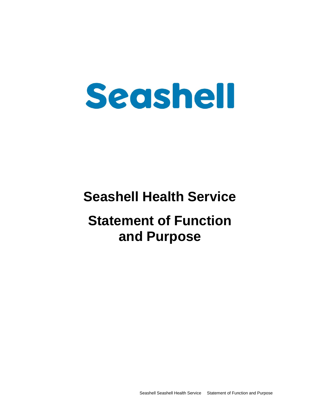# Seashell

## **Seashell Health Service**

# **Statement of Function and Purpose**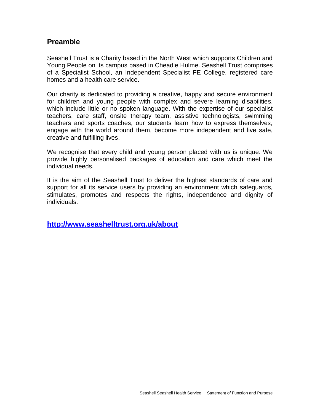#### **Preamble**

Seashell Trust is a Charity based in the North West which supports Children and Young People on its campus based in Cheadle Hulme. Seashell Trust comprises of a Specialist School, an Independent Specialist FE College, registered care homes and a health care service.

Our charity is dedicated to providing a creative, happy and secure environment for children and young people with complex and severe learning disabilities, which include little or no spoken language. With the expertise of our specialist teachers, care staff, onsite therapy team, assistive technologists, swimming teachers and sports coaches, our students learn how to express themselves, engage with the world around them, become more independent and live safe, creative and fulfilling lives.

We recognise that every child and young person placed with us is unique. We provide highly personalised packages of education and care which meet the individual needs.

It is the aim of the Seashell Trust to deliver the highest standards of care and support for all its service users by providing an environment which safeguards, stimulates, promotes and respects the rights, independence and dignity of individuals.

**<http://www.seashelltrust.org.uk/about>**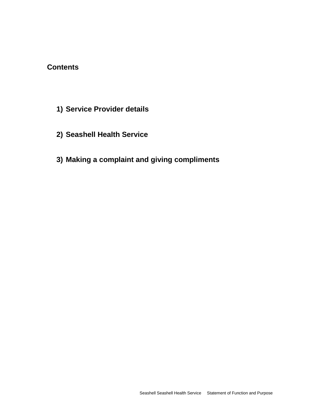### **Contents**

- **1) Service Provider details**
- **2) Seashell Health Service**
- **3) Making a complaint and giving compliments**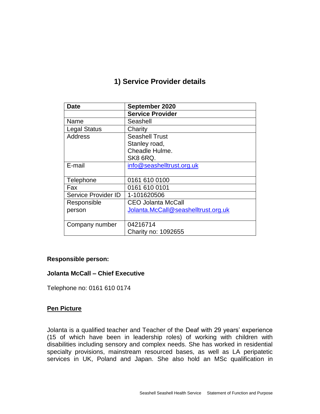## **1) Service Provider details**

| Date                | September 2020                      |
|---------------------|-------------------------------------|
|                     | <b>Service Provider</b>             |
| Name                | Seashell                            |
| <b>Legal Status</b> | Charity                             |
| <b>Address</b>      | <b>Seashell Trust</b>               |
|                     | Stanley road,                       |
|                     | Cheadle Hulme.                      |
|                     | SK8 6RQ.                            |
| E-mail              | info@seashelltrust.org.uk           |
|                     |                                     |
| Telephone           | 0161 610 0100                       |
| Fax                 | 0161 610 0101                       |
| Service Provider ID | 1-101620506                         |
| Responsible         | <b>CEO Jolanta McCall</b>           |
| person              | Jolanta.McCall@seashelltrust.org.uk |
|                     |                                     |
| Company number      | 04216714                            |
|                     | Charity no: 1092655                 |

#### **Responsible person:**

#### **Jolanta McCall – Chief Executive**

Telephone no: 0161 610 0174

#### **Pen Picture**

Jolanta is a qualified teacher and Teacher of the Deaf with 29 years' experience (15 of which have been in leadership roles) of working with children with disabilities including sensory and complex needs. She has worked in residential specialty provisions, mainstream resourced bases, as well as LA peripatetic services in UK, Poland and Japan. She also hold an MSc qualification in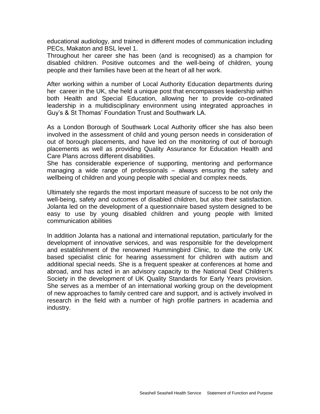educational audiology, and trained in different modes of communication including PECs, Makaton and BSL level 1.

Throughout her career she has been (and is recognised) as a champion for disabled children. Positive outcomes and the well-being of children, young people and their families have been at the heart of all her work.

After working within a number of Local Authority Education departments during her career in the UK, she held a unique post that encompasses leadership within both Health and Special Education, allowing her to provide co-ordinated leadership in a multidisciplinary environment using integrated approaches in Guy's & St Thomas' Foundation Trust and Southwark LA.

As a London Borough of Southwark Local Authority officer she has also been involved in the assessment of child and young person needs in consideration of out of borough placements, and have led on the monitoring of out of borough placements as well as providing Quality Assurance for Education Health and Care Plans across different disabilities.

She has considerable experience of supporting, mentoring and performance managing a wide range of professionals – always ensuring the safety and wellbeing of children and young people with special and complex needs.

Ultimately she regards the most important measure of success to be not only the well-being, safety and outcomes of disabled children, but also their satisfaction. Jolanta led on the development of a questionnaire based system designed to be easy to use by young disabled children and young people with limited communication abilities

In addition Jolanta has a national and international reputation, particularly for the development of innovative services, and was responsible for the development and establishment of the renowned Hummingbird Clinic, to date the only UK based specialist clinic for hearing assessment for children with autism and additional special needs. She is a frequent speaker at conferences at home and abroad, and has acted in an advisory capacity to the National Deaf Children's Society in the development of UK Quality Standards for Early Years provision. She serves as a member of an international working group on the development of new approaches to family centred care and support, and is actively involved in research in the field with a number of high profile partners in academia and industry.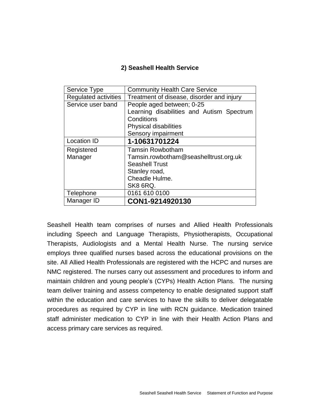#### **2) Seashell Health Service**

| Service Type                | <b>Community Health Care Service</b>      |
|-----------------------------|-------------------------------------------|
| <b>Regulated activities</b> | Treatment of disease, disorder and injury |
| Service user band           | People aged between; 0-25                 |
|                             | Learning disabilities and Autism Spectrum |
|                             | Conditions                                |
|                             | <b>Physical disabilities</b>              |
|                             | <b>Sensory impairment</b>                 |
| <b>Location ID</b>          | 1-10631701224                             |
| Registered                  | <b>Tamsin Rowbotham</b>                   |
| Manager                     | Tamsin.rowbotham@seashelltrust.org.uk     |
|                             | <b>Seashell Trust</b>                     |
|                             | Stanley road,                             |
|                             | Cheadle Hulme.                            |
|                             | SK8 6RQ.                                  |
| Telephone                   | 0161 610 0100                             |
| Manager ID                  | CON1-9214920130                           |

Seashell Health team comprises of nurses and Allied Health Professionals including Speech and Language Therapists, Physiotherapists, Occupational Therapists, Audiologists and a Mental Health Nurse. The nursing service employs three qualified nurses based across the educational provisions on the site. All Allied Health Professionals are registered with the HCPC and nurses are NMC registered. The nurses carry out assessment and procedures to inform and maintain children and young people's (CYPs) Health Action Plans. The nursing team deliver training and assess competency to enable designated support staff within the education and care services to have the skills to deliver delegatable procedures as required by CYP in line with RCN guidance. Medication trained staff administer medication to CYP in line with their Health Action Plans and access primary care services as required.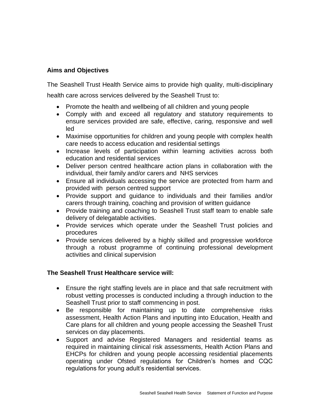#### **Aims and Objectives**

The Seashell Trust Health Service aims to provide high quality, multi-disciplinary

health care across services delivered by the Seashell Trust to:

- Promote the health and wellbeing of all children and young people
- Comply with and exceed all regulatory and statutory requirements to ensure services provided are safe, effective, caring, responsive and well led
- Maximise opportunities for children and young people with complex health care needs to access education and residential settings
- Increase levels of participation within learning activities across both education and residential services
- Deliver person centred healthcare action plans in collaboration with the individual, their family and/or carers and NHS services
- Ensure all individuals accessing the service are protected from harm and provided with person centred support
- Provide support and guidance to individuals and their families and/or carers through training, coaching and provision of written guidance
- Provide training and coaching to Seashell Trust staff team to enable safe delivery of delegatable activities.
- Provide services which operate under the Seashell Trust policies and procedures
- Provide services delivered by a highly skilled and progressive workforce through a robust programme of continuing professional development activities and clinical supervision

#### **The Seashell Trust Healthcare service will:**

- Ensure the right staffing levels are in place and that safe recruitment with robust vetting processes is conducted including a through induction to the Seashell Trust prior to staff commencing in post.
- Be responsible for maintaining up to date comprehensive risks assessment, Health Action Plans and inputting into Education, Health and Care plans for all children and young people accessing the Seashell Trust services on day placements.
- Support and advise Registered Managers and residential teams as required in maintaining clinical risk assessments, Health Action Plans and EHCPs for children and young people accessing residential placements operating under Ofsted regulations for Children's homes and CQC regulations for young adult's residential services.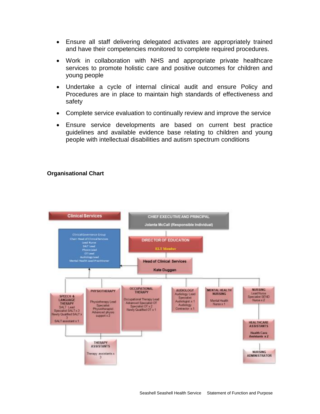- Ensure all staff delivering delegated activates are appropriately trained and have their competencies monitored to complete required procedures.
- Work in collaboration with NHS and appropriate private healthcare services to promote holistic care and positive outcomes for children and young people
- Undertake a cycle of internal clinical audit and ensure Policy and Procedures are in place to maintain high standards of effectiveness and safety
- Complete service evaluation to continually review and improve the service
- Ensure service developments are based on current best practice guidelines and available evidence base relating to children and young people with intellectual disabilities and autism spectrum conditions

#### **Organisational Chart**

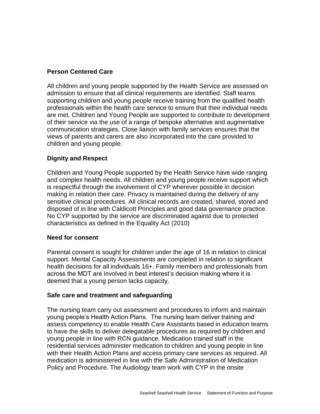#### **Person Centered Care**

All children and young people supported by the Health Service are assessed on admission to ensure that all clinical requirements are identified. Staff teams supporting children and young people receive training from the qualified health professionals within the health care service to ensure that their individual needs are met. Children and Young People are supported to contribute to development of their service via the use of a range of bespoke alternative and augmentative communication strategies. Close liaison with family services ensures that the views of parents and carers are also incorporated into the care provided to children and young people.

#### **Dignity and Respect**

Children and Young People supported by the Health Service have wide ranging and complex health needs. All children and young people receive support which is respectful through the involvement of CYP wherever possible in decision making in relation their care. Privacy is maintained during the delivery of any sensitive clinical procedures. All clinical records are created, shared, stored and disposed of in line with Caldicott Principles and good data governance practice. No CYP supported by the service are discriminated against due to protected characteristics as defined in the Equality Act (2010)

#### **Need for consent**

Parental consent is sought for children under the age of 16 in relation to clinical support. Mental Capacity Assessments are completed in relation to significant health decisions for all individuals 16+. Family members and professionals from across the MDT are involved in best interest's decision making where it is deemed that a young person lacks capacity.

#### **Safe care and treatment and safeguarding**

The nursing team carry out assessment and procedures to inform and maintain young people's Health Action Plans. The nursing team deliver training and assess competency to enable Health Care Assistants based in education teams to have the skills to deliver delegatable procedures as required by children and young people in line with RCN guidance. Medication trained staff in the residential services administer medication to children and young people in line with their Health Action Plans and access primary care services as required. All medication is administered in line with the Safe Administration of Medication Policy and Procedure. The Audiology team work with CYP in the onsite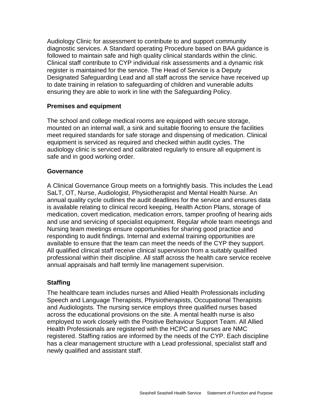Audiology Clinic for assessment to contribute to and support community diagnostic services. A Standard operating Procedure based on BAA guidance is followed to maintain safe and high quality clinical standards within the clinic. Clinical staff contribute to CYP individual risk assessments and a dynamic risk register is maintained for the service. The Head of Service is a Deputy Designated Safeguarding Lead and all staff across the service have received up to date training in relation to safeguarding of children and vunerable adults ensuring they are able to work in line with the Safeguarding Policy.

#### **Premises and equipment**

The school and college medical rooms are equipped with secure storage, mounted on an internal wall, a sink and suitable flooring to ensure the facilities meet required standards for safe storage and dispensing of medication. Clinical equipment is serviced as required and checked within audit cycles. The audiology clinic is serviced and calibrated regularly to ensure all equipment is safe and in good working order.

#### **Governance**

A Clinical Governance Group meets on a fortnightly basis. This includes the Lead SaLT, OT, Nurse, Audiologist, Physiotherapist and Mental Health Nurse. An annual quality cycle outlines the audit deadlines for the service and ensures data is available relating to clinical record keeping, Health Action Plans, storage of medication, covert medication, medication errors, tamper proofing of hearing aids and use and servicing of specialist equipment. Regular whole team meetings and Nursing team meetings ensure opportunities for sharing good practice and responding to audit findings. Internal and external training opportunities are available to ensure that the team can meet the needs of the CYP they support. All qualified clinical staff receive clinical supervision from a suitably qualified professional within their discipline. All staff across the health care service receive annual appraisals and half termly line management supervision.

#### **Staffing**

The healthcare team includes nurses and Allied Health Professionals including Speech and Language Therapists, Physiotherapists, Occupational Therapists and Audiologists. The nursing service employs three qualified nurses based across the educational provisions on the site. A mental health nurse is also employed to work closely with the Positive Behaviour Support Team. All Allied Health Professionals are registered with the HCPC and nurses are NMC registered. Staffing ratios are informed by the needs of the CYP. Each discipline has a clear management structure with a Lead professional, specialist staff and newly qualified and assistant staff.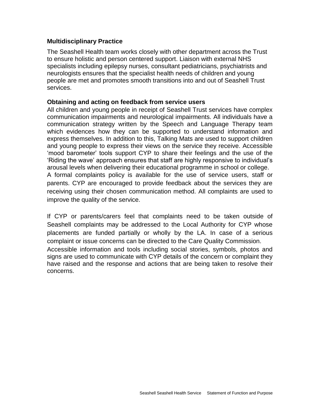#### **Multidisciplinary Practice**

The Seashell Health team works closely with other department across the Trust to ensure holistic and person centered support. Liaison with external NHS specialists including epilepsy nurses, consultant pediatricians, psychiatrists and neurologists ensures that the specialist health needs of children and young people are met and promotes smooth transitions into and out of Seashell Trust services.

#### **Obtaining and acting on feedback from service users**

All children and young people in receipt of Seashell Trust services have complex communication impairments and neurological impairments. All individuals have a communication strategy written by the Speech and Language Therapy team which evidences how they can be supported to understand information and express themselves. In addition to this, Talking Mats are used to support children and young people to express their views on the service they receive. Accessible 'mood barometer' tools support CYP to share their feelings and the use of the 'Riding the wave' approach ensures that staff are highly responsive to individual's arousal levels when delivering their educational programme in school or college. A formal complaints policy is available for the use of service users, staff or parents. CYP are encouraged to provide feedback about the services they are receiving using their chosen communication method. All complaints are used to improve the quality of the service.

If CYP or parents/carers feel that complaints need to be taken outside of Seashell complaints may be addressed to the Local Authority for CYP whose placements are funded partially or wholly by the LA. In case of a serious complaint or issue concerns can be directed to the Care Quality Commission.

Accessible information and tools including social stories, symbols, photos and signs are used to communicate with CYP details of the concern or complaint they have raised and the response and actions that are being taken to resolve their concerns.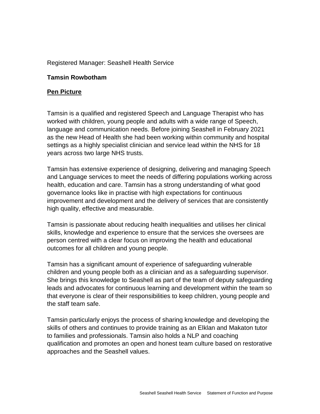#### Registered Manager: Seashell Health Service

#### **Tamsin Rowbotham**

#### **Pen Picture**

Tamsin is a qualified and registered Speech and Language Therapist who has worked with children, young people and adults with a wide range of Speech, language and communication needs. Before joining Seashell in February 2021 as the new Head of Health she had been working within community and hospital settings as a highly specialist clinician and service lead within the NHS for 18 years across two large NHS trusts.

Tamsin has extensive experience of designing, delivering and managing Speech and Language services to meet the needs of differing populations working across health, education and care. Tamsin has a strong understanding of what good governance looks like in practise with high expectations for continuous improvement and development and the delivery of services that are consistently high quality, effective and measurable.

Tamsin is passionate about reducing health inequalities and utilises her clinical skills, knowledge and experience to ensure that the services she oversees are person centred with a clear focus on improving the health and educational outcomes for all children and young people.

Tamsin has a significant amount of experience of safeguarding vulnerable children and young people both as a clinician and as a safeguarding supervisor. She brings this knowledge to Seashell as part of the team of deputy safeguarding leads and advocates for continuous learning and development within the team so that everyone is clear of their responsibilities to keep children, young people and the staff team safe.

Tamsin particularly enjoys the process of sharing knowledge and developing the skills of others and continues to provide training as an Elklan and Makaton tutor to families and professionals. Tamsin also holds a NLP and coaching qualification and promotes an open and honest team culture based on restorative approaches and the Seashell values.